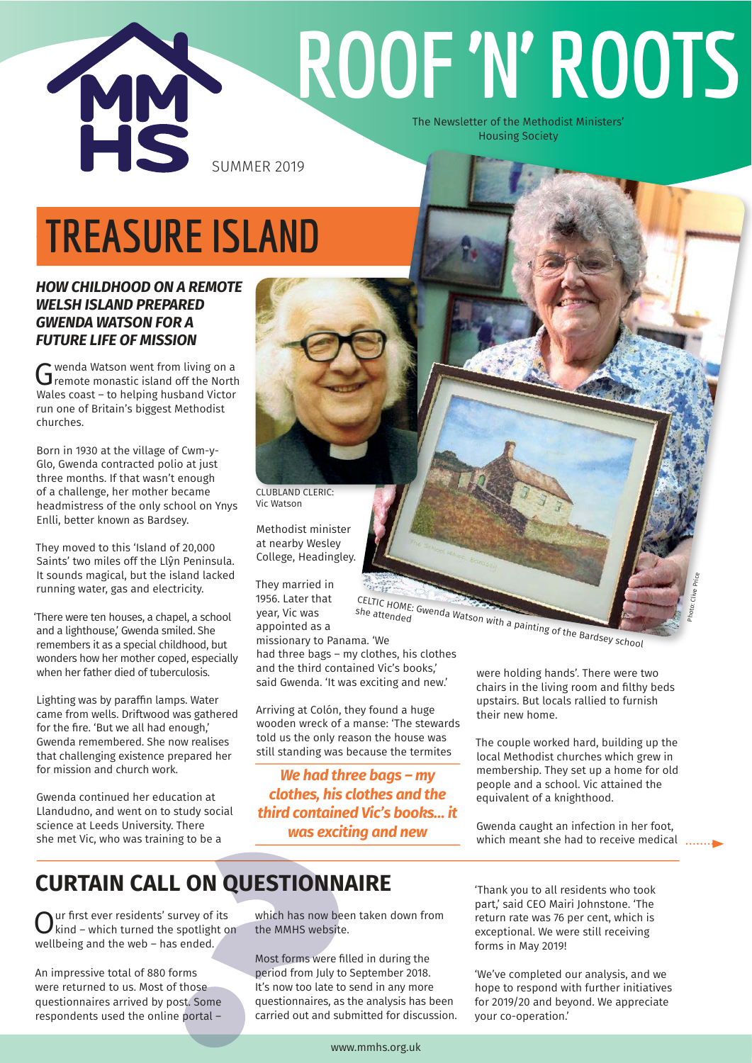

# **ROOF 'N' ROOTS**

The Newsletter of the Methodist Ministers' Housing Society

# **TREASURE ISLAND**

### *HOW CHILDHOOD ON A REMOTE WELSH ISLAND PREPARED GWENDA WATSON FOR A FUTURE LIFE OF MISSION*

G wenda Watson went from living on a<br>G remote monastic island off the North wenda Watson went from living on a Wales coast – to helping husband Victor run one of Britain's biggest Methodist churches.

Born in 1930 at the village of Cwm-y-Glo, Gwenda contracted polio at just three months. If that wasn't enough of a challenge, her mother became headmistress of the only school on Ynys Enlli, better known as Bardsey.

They moved to this 'Island of 20,000 Saints' two miles off the Llŷn Peninsula. It sounds magical, but the island lacked running water, gas and electricity.

'There were ten houses, a chapel, a school and a lighthouse,' Gwenda smiled. She remembers it as a special childhood, but wonders how her mother coped, especially when her father died of tuberculosis.

Lighting was by paraffin lamps. Water came from wells. Driftwood was gathered for the fire. 'But we all had enough,' Gwenda remembered. She now realises that challenging existence prepared her for mission and church work.

Gwenda continued her education at Llandudno, and went on to study social science at Leeds University. There she met Vic, who was training to be a

CLUBLAND CLERIC: Vic Watson

Methodist minister at nearby Wesley College, Headingley.

They married in 1956. Later that year, Vic was appointed as a

missionary to Panama. 'We had three bags – my clothes, his clothes and the third contained Vic's books,' said Gwenda. 'It was exciting and new.'

she attended

Arriving at Colón, they found a huge wooden wreck of a manse: 'The stewards told us the only reason the house was still standing was because the termites

*We had three bags – my clothes, his clothes and the third contained Vic's books… it was exciting and new*

CELTIC HOME: Gwenda Watson with a painting of the Bardsey school<br>The attended<br>The We

were holding hands'. There were two chairs in the living room and filthy beds upstairs. But locals rallied to furnish their new home.

Photo: Clive Price

The couple worked hard, building up the local Methodist churches which grew in membership. They set up a home for old people and a school. Vic attained the equivalent of a knighthood.

Gwenda caught an infection in her foot, which meant she had to receive medical .......

## **CURTAIN CALL ON QUESTIONNAIRE**

 $\sum_{\text{wind}}$  – which turned the spotlight on ur first ever residents' survey of its wellbeing and the web – has ended.

An impressive total of 880 forms were returned to us. Most of those questionnaires arrived by post. Some respondents used the online portal –

which has now been taken down from the MMHS website.

Most forms were filled in during the period from July to September 2018. It's now too late to send in any more questionnaires, as the analysis has been carried out and submitted for discussion. 'Thank you to all residents who took part,' said CEO Mairi Johnstone. 'The return rate was 76 per cent, which is exceptional. We were still receiving forms in May 2019!

'We've completed our analysis, and we hope to respond with further initiatives for 2019/20 and beyond. We appreciate your co-operation.'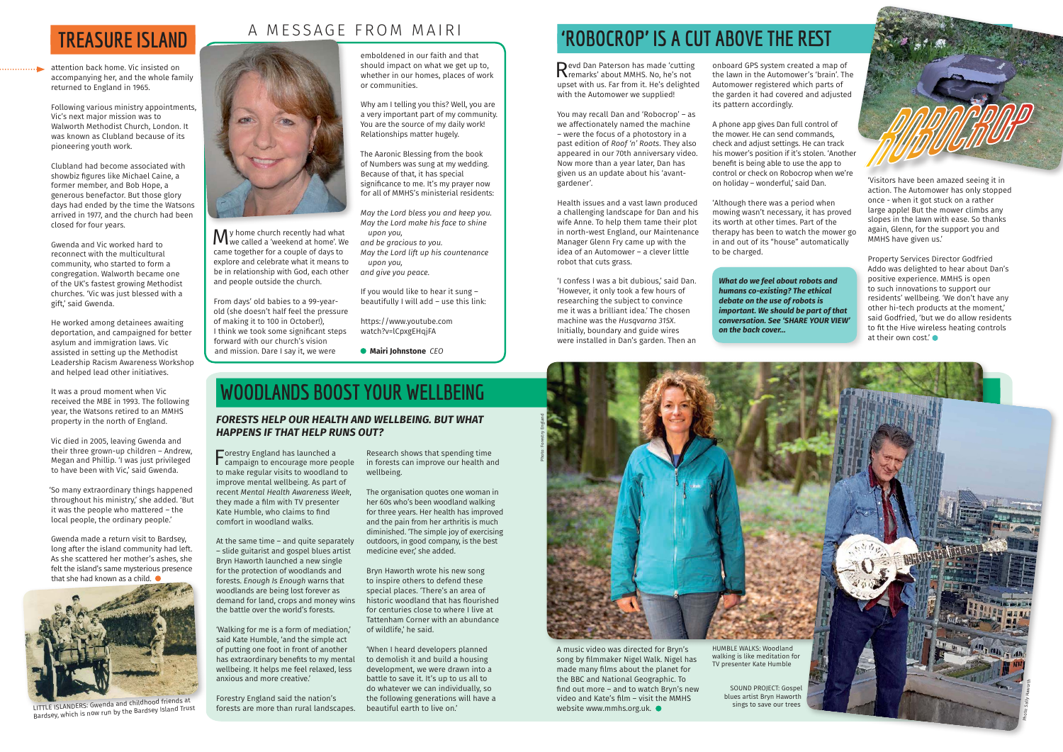**M** y home church recently had what<br>we called a 'weekend at home'. We we called a 'weekend at home'. We came together for a couple of days to explore and celebrate what it means to be in relationship with God, each other and people outside the church.

From days' old babies to a 99-yearold (she doesn't half feel the pressure of making it to 100 in October!), I think we took some significant steps forward with our church's vision and mission. Dare I say it, we were

emboldened in our faith and that should impact on what we get up to, whether in our homes, places of work or communities.

Why am I telling you this? Well, you are a very important part of my community. You are the source of my daily work! Relationships matter hugely.

The Aaronic Blessing from the book of Numbers was sung at my wedding. Because of that, it has special significance to me. It's my prayer now for all of MMHS's ministerial residents:

*May the Lord bless you and keep you. May the Lord make his face to shine upon you,* 

*and be gracious to you. May the Lord lift up his countenance upon you,* 

*and give you peace.*

If you would like to hear it sung – beautifully I will add – use this link:

https://www.youtube.com watch?v=lCpxgEHqjFA

 **Mairi Johnstone** *CEO*

## A MESSAGE FROM MAIRI



## **TREASURE ISLAND**

attention back home. Vic insisted on accompanying her, and the whole family returned to England in 1965.

Gwenda made a return visit to Bardsey, long after the island community had left. As she scattered her mother's ashes, she felt the island's same mysterious presence that she had known as a child.  $\bullet$ 

Following various ministry appointments, Vic's next major mission was to Walworth Methodist Church, London. It was known as Clubland because of its pioneering youth work.

Revd Dan Paterson has made 'cutting<br>
Remarks' about MMHS. No, he's not remarks' about MMHS. No, he's not upset with us. Far from it. He's delighted with the Automower we supplied!

Clubland had become associated with showbiz figures like Michael Caine, a former member, and Bob Hope, a generous benefactor. But those glory days had ended by the time the Watsons arrived in 1977, and the church had been closed for four years.

Gwenda and Vic worked hard to reconnect with the multicultural community, who started to form a congregation. Walworth became one of the UK's fastest growing Methodist churches. 'Vic was just blessed with a gift,' said Gwenda.

He worked among detainees awaiting deportation, and campaigned for better asylum and immigration laws. Vic assisted in setting up the Methodist Leadership Racism Awareness Workshop and helped lead other initiatives.

It was a proud moment when Vic received the MBE in 1993. The following year, the Watsons retired to an MMHS property in the north of England.

Vic died in 2005, leaving Gwenda and their three grown-up children – Andrew, Megan and Phillip. 'I was just privileged to have been with Vic,' said Gwenda.

'So many extraordinary things happened throughout his ministry,' she added. 'But it was the people who mattered – the local people, the ordinary people.'

Forestry England has launched a<br>
campaign to encourage more people **T**orestry England has launched a to make regular visits to woodland to improve mental wellbeing. As part of recent *Mental Health Awareness Week*, they made a film with TV presenter Kate Humble, who claims to find comfort in woodland walks.

You may recall Dan and 'Robocrop' – as we affectionately named the machine – were the focus of a photostory in a past edition of *Roof 'n' Roots*. They also appeared in our 70th anniversary video. Now more than a year later, Dan has given us an update about his 'avantgardener'.

Health issues and a vast lawn produced a challenging landscape for Dan and his wife Anne. To help them tame their plot in north-west England, our Maintenance Manager Glenn Fry came up with the idea of an Automower – a clever little robot that cuts grass.

'I confess I was a bit dubious,' said Dan. 'However, it only took a few hours of researching the subject to convince me it was a brilliant idea.' The chosen machine was the *Husqvarna 315X*. Initially, boundary and guide wires were installed in Dan's garden. Then an

onboard GPS system created a map of the lawn in the Automower's 'brain'. The Automower registered which parts of the garden it had covered and adjusted its pattern accordingly.

A phone app gives Dan full control of the mower. He can send commands, check and adjust settings. He can track his mower's position if it's stolen. 'Another benefit is being able to use the app to control or check on Robocrop when we're on holiday – wonderful,' said Dan.

'Although there was a period when mowing wasn't necessary, it has proved its worth at other times. Part of the therapy has been to watch the mower go in and out of its "house" automatically to be charged.

'Visitors have been amazed seeing it in action. The Automower has only stopped once - when it got stuck on a rather large apple! But the mower climbs any slopes in the lawn with ease. So thanks again, Glenn, for the support you and MMHS have given us.'

Property Services Director Godfried Addo was delighted to hear about Dan's positive experience. MMHS is open to such innovations to support our residents' wellbeing. 'We don't have any other hi-tech products at the moment,' said Godfried, 'but we do allow residents to fit the Hive wireless heating controls at their own cost.'

### *FORESTS HELP OUR HEALTH AND WELLBEING. BUT WHAT HAPPENS IF THAT HELP RUNS OUT?*

At the same time – and quite separately – slide guitarist and gospel blues artist Bryn Haworth launched a new single for the protection of woodlands and forests. *Enough Is Enough* warns that woodlands are being lost forever as demand for land, crops and money wins the battle over the world's forests.

'Walking for me is a form of mediation,' said Kate Humble, 'and the simple act of putting one foot in front of another has extraordinary benefits to my mental wellbeing. It helps me feel relaxed, less anxious and more creative.'

Forestry England said the nation's forests are more than rural landscapes.

Research shows that spending time in forests can improve our health and wellbeing.

The organisation quotes one woman in her 60s who's been woodland walking for three years. Her health has improved and the pain from her arthritis is much diminished. 'The simple joy of exercising outdoors, in good company, is the best medicine ever,' she added.

Bryn Haworth wrote his new song to inspire others to defend these special places. 'There's an area of historic woodland that has flourished for centuries close to where I live at Tattenham Corner with an abundance of wildlife,' he said.

'When I heard developers planned to demolish it and build a housing development, we were drawn into a battle to save it. It's up to us all to do whatever we can individually, so the following generations will have a beautiful earth to live on.'

## *'ROBOCROP' IS A CUT ABOVE THE REST*





## **WOODLANDS BOOST YOUR WELLBEING**

*What do we feel about robots and humans co-existing? The ethical debate on the use of robots is important. We should be part of that conversation. See 'SHARE YOUR VIEW' on the back cover…*



LITTLE ISLANDERS: Gwenda and childhood friends at Bardsey, which is now run by the Bardsey Island Trust